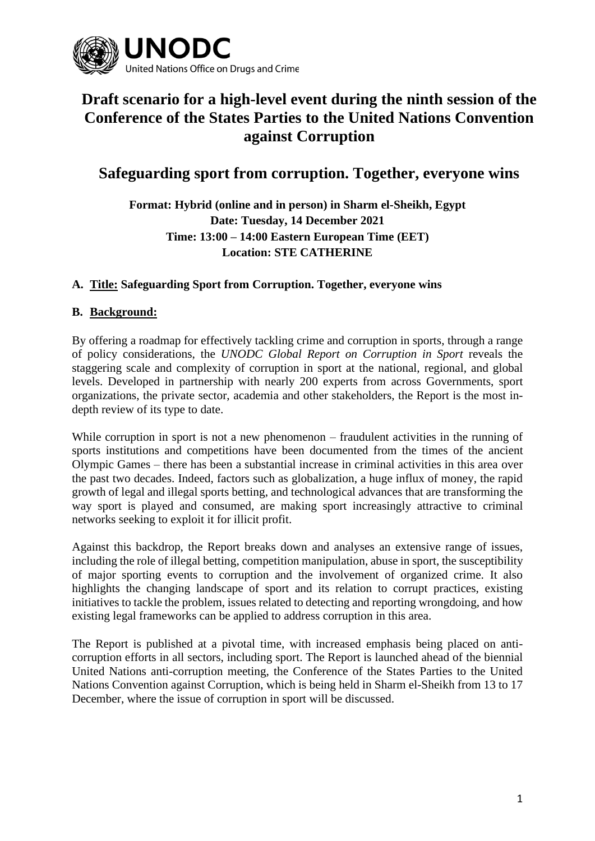

# **Draft scenario for a high-level event during the ninth session of the Conference of the States Parties to the United Nations Convention against Corruption**

## **Safeguarding sport from corruption. Together, everyone wins**

**Format: Hybrid (online and in person) in Sharm el-Sheikh, Egypt Date: Tuesday, 14 December 2021 Time: 13:00 – 14:00 Eastern European Time (EET) Location: STE CATHERINE**

#### **A. Title: Safeguarding Sport from Corruption. Together, everyone wins**

#### **B. Background:**

By offering a roadmap for effectively tackling crime and corruption in sports, through a range of policy considerations, the *UNODC Global Report on Corruption in Sport* reveals the staggering scale and complexity of corruption in sport at the national, regional, and global levels. Developed in partnership with nearly 200 experts from across Governments, sport organizations, the private sector, academia and other stakeholders, the Report is the most indepth review of its type to date.

While corruption in sport is not a new phenomenon – fraudulent activities in the running of sports institutions and competitions have been documented from the times of the ancient Olympic Games – there has been a substantial increase in criminal activities in this area over the past two decades. Indeed, factors such as globalization, a huge influx of money, the rapid growth of legal and illegal sports betting, and technological advances that are transforming the way sport is played and consumed, are making sport increasingly attractive to criminal networks seeking to exploit it for illicit profit.

Against this backdrop, the Report breaks down and analyses an extensive range of issues, including the role of illegal betting, competition manipulation, abuse in sport, the susceptibility of major sporting events to corruption and the involvement of organized crime. It also highlights the changing landscape of sport and its relation to corrupt practices, existing initiatives to tackle the problem, issues related to detecting and reporting wrongdoing, and how existing legal frameworks can be applied to address corruption in this area.

The Report is published at a pivotal time, with increased emphasis being placed on anticorruption efforts in all sectors, including sport. The Report is launched ahead of the biennial United Nations anti-corruption meeting, the Conference of the States Parties to the United Nations Convention against Corruption, which is being held in Sharm el-Sheikh from 13 to 17 December, where the issue of corruption in sport will be discussed.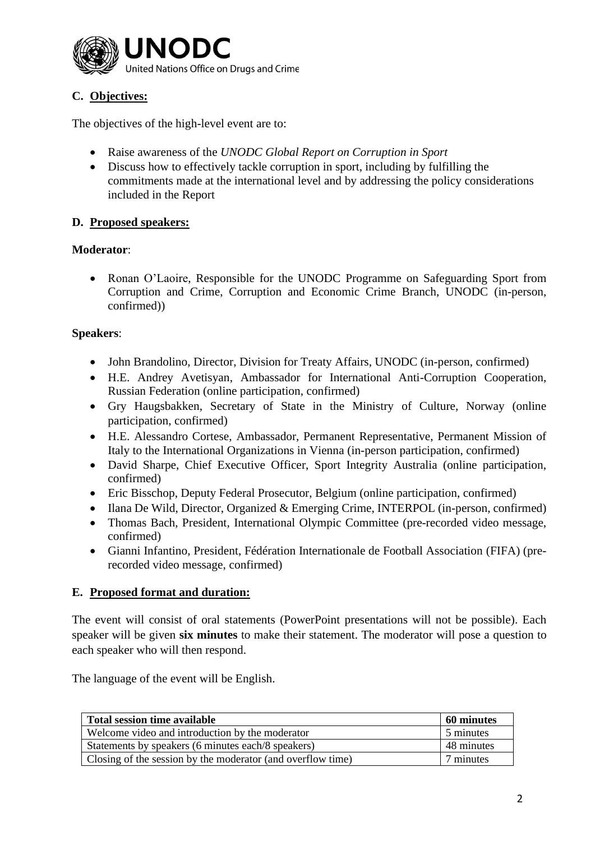

### **C. Objectives:**

The objectives of the high-level event are to:

- Raise awareness of the *UNODC Global Report on Corruption in Sport*
- Discuss how to effectively tackle corruption in sport, including by fulfilling the commitments made at the international level and by addressing the policy considerations included in the Report

#### **D. Proposed speakers:**

#### **Moderator**:

• Ronan O'Laoire, Responsible for the UNODC Programme on Safeguarding Sport from Corruption and Crime, Corruption and Economic Crime Branch, UNODC (in-person, confirmed))

#### **Speakers**:

- John Brandolino, Director, Division for Treaty Affairs, UNODC (in-person, confirmed)
- H.E. Andrey Avetisyan, Ambassador for International Anti-Corruption Cooperation, Russian Federation (online participation, confirmed)
- Gry Haugsbakken, Secretary of State in the Ministry of Culture, Norway (online participation, confirmed)
- H.E. Alessandro Cortese, Ambassador, Permanent Representative, Permanent Mission of Italy to the International Organizations in Vienna (in-person participation, confirmed)
- David Sharpe, Chief Executive Officer, Sport Integrity Australia (online participation, confirmed)
- Eric Bisschop, Deputy Federal Prosecutor, Belgium (online participation, confirmed)
- Ilana De Wild, Director, Organized & Emerging Crime, INTERPOL (in-person, confirmed)
- Thomas Bach, President, International Olympic Committee (pre-recorded video message, confirmed)
- Gianni Infantino, President, Fédération Internationale de Football Association (FIFA) (prerecorded video message, confirmed)

#### **E. Proposed format and duration:**

The event will consist of oral statements (PowerPoint presentations will not be possible). Each speaker will be given **six minutes** to make their statement. The moderator will pose a question to each speaker who will then respond.

The language of the event will be English.

| Total session time available                                | 60 minutes |
|-------------------------------------------------------------|------------|
| Welcome video and introduction by the moderator             | 5 minutes  |
| Statements by speakers (6 minutes each/8 speakers)          | 48 minutes |
| Closing of the session by the moderator (and overflow time) | 7 minutes  |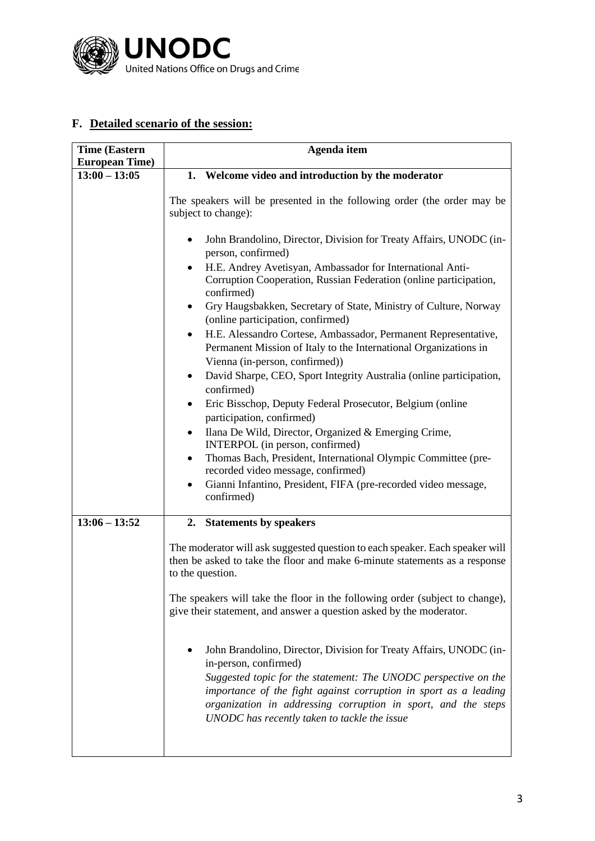

### **F. Detailed scenario of the session:**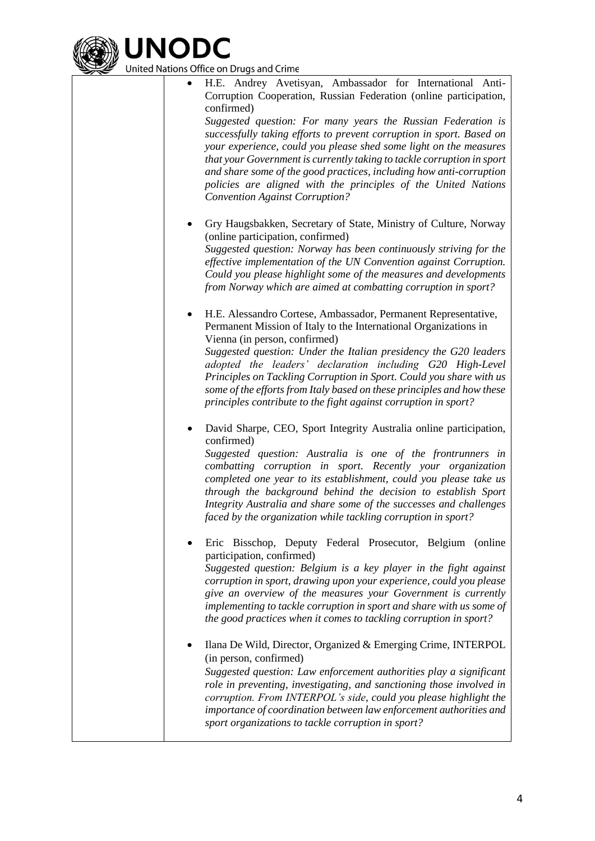

United Nations Office on Drugs and Crime

- H.E. Andrey Avetisyan, Ambassador for International Anti-Corruption Cooperation, Russian Federation (online participation, confirmed) *Suggested question: For many years the Russian Federation is successfully taking efforts to prevent corruption in sport. Based on your experience, could you please shed some light on the measures that your Government is currently taking to tackle corruption in sport and share some of the good practices, including how anti-corruption policies are aligned with the principles of the United Nations Convention Against Corruption?*
- Gry Haugsbakken, Secretary of State, Ministry of Culture, Norway (online participation, confirmed) *Suggested question: Norway has been continuously striving for the effective implementation of the UN Convention against Corruption. Could you please highlight some of the measures and developments from Norway which are aimed at combatting corruption in sport?*
- H.E. Alessandro Cortese, Ambassador, Permanent Representative, Permanent Mission of Italy to the International Organizations in Vienna (in person, confirmed) *Suggested question: Under the Italian presidency the G20 leaders adopted the leaders' declaration including G20 High-Level Principles on Tackling Corruption in Sport. Could you share with us some of the efforts from Italy based on these principles and how these*

*principles contribute to the fight against corruption in sport?*

- David Sharpe, CEO, Sport Integrity Australia online participation, confirmed) *Suggested question: Australia is one of the frontrunners in combatting corruption in sport. Recently your organization completed one year to its establishment, could you please take us through the background behind the decision to establish Sport Integrity Australia and share some of the successes and challenges faced by the organization while tackling corruption in sport?*
- Eric Bisschop, Deputy Federal Prosecutor, Belgium (online participation, confirmed) *Suggested question: Belgium is a key player in the fight against corruption in sport, drawing upon your experience, could you please give an overview of the measures your Government is currently implementing to tackle corruption in sport and share with us some of the good practices when it comes to tackling corruption in sport?*

• Ilana De Wild, Director, Organized & Emerging Crime, INTERPOL (in person, confirmed) *Suggested question: Law enforcement authorities play a significant role in preventing, investigating, and sanctioning those involved in corruption. From INTERPOL's side, could you please highlight the importance of coordination between law enforcement authorities and sport organizations to tackle corruption in sport?*